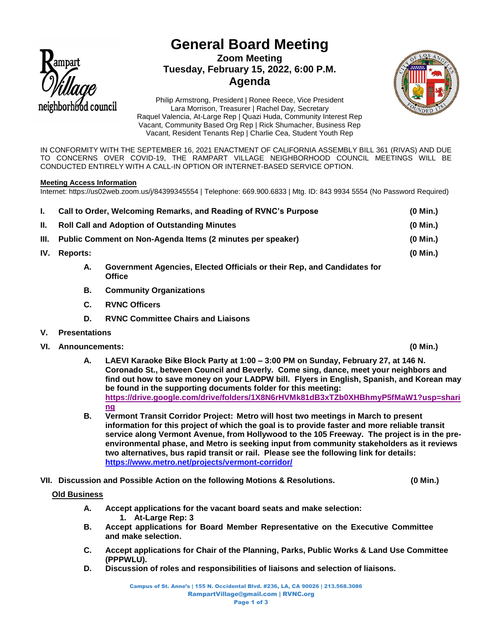

# **General Board Meeting Zoom Meeting Tuesday, February 15, 2022, 6:00 P.M. Agenda**



Philip Armstrong, President | Ronee Reece, Vice President Lara Morrison, Treasurer | Rachel Day, Secretary Raquel Valencia, At-Large Rep | Quazi Huda, Community Interest Rep Vacant, Community Based Org Rep | Rick Shumacher, Business Rep Vacant, Resident Tenants Rep | Charlie Cea, Student Youth Rep

IN CONFORMITY WITH THE SEPTEMBER 16, 2021 ENACTMENT OF CALIFORNIA ASSEMBLY BILL 361 (RIVAS) AND DUE TO CONCERNS OVER COVID-19, THE RAMPART VILLAGE NEIGHBORHOOD COUNCIL MEETINGS WILL BE CONDUCTED ENTIRELY WITH A CALL-IN OPTION OR INTERNET-BASED SERVICE OPTION.

## **Meeting Access Information**

Internet: https://us02web.zoom.us/j/84399345554 | Telephone: 669.900.6833 | Mtg. ID: 843 9934 5554 (No Password Required)

| L.   | Call to Order, Welcoming Remarks, and Reading of RVNC's Purpose |                                                                                          | $(0$ Min.) |
|------|-----------------------------------------------------------------|------------------------------------------------------------------------------------------|------------|
| Н.   | <b>Roll Call and Adoption of Outstanding Minutes</b>            |                                                                                          | (0 Min.)   |
| III. | Public Comment on Non-Agenda Items (2 minutes per speaker)      |                                                                                          | $(0$ Min.) |
| IV.  | Reports:                                                        |                                                                                          | $(0$ Min.) |
|      | А.                                                              | Government Agencies, Elected Officials or their Rep, and Candidates for<br><b>Office</b> |            |
|      | В.                                                              | <b>Community Organizations</b>                                                           |            |

- **C. RVNC Officers**
- **D. RVNC Committee Chairs and Liaisons**
- **V. Presentations**
- **VI. Announcements: (0 Min.)**
	- **A. LAEVI Karaoke Bike Block Party at 1:00 – 3:00 PM on Sunday, February 27, at 146 N. Coronado St., between Council and Beverly. Come sing, dance, meet your neighbors and find out how to save money on your LADPW bill. Flyers in English, Spanish, and Korean may be found in the supporting documents folder for this meeting: [https://drive.google.com/drive/folders/1X8N6rHVMk81dB3xTZb0XHBhmyP5fMaW1?usp=shari](https://drive.google.com/drive/folders/1X8N6rHVMk81dB3xTZb0XHBhmyP5fMaW1?usp=sharing) [ng](https://drive.google.com/drive/folders/1X8N6rHVMk81dB3xTZb0XHBhmyP5fMaW1?usp=sharing)**
	- **B. Vermont Transit Corridor Project: Metro will host two meetings in March to present information for this project of which the goal is to provide faster and more reliable transit service along Vermont Avenue, from Hollywood to the 105 Freeway. The project is in the preenvironmental phase, and Metro is seeking input from community stakeholders as it reviews two alternatives, bus rapid transit or rail. Please see the following link for details: <https://www.metro.net/projects/vermont-corridor/>**
- **VII. Discussion and Possible Action on the following Motions & Resolutions. (0 Min.)**

# **Old Business**

- **A. Accept applications for the vacant board seats and make selection: 1. At-Large Rep: 3**
- **B. Accept applications for Board Member Representative on the Executive Committee and make selection.**
- **C. Accept applications for Chair of the Planning, Parks, Public Works & Land Use Committee (PPPWLU).**
- **D. Discussion of roles and responsibilities of liaisons and selection of liaisons.**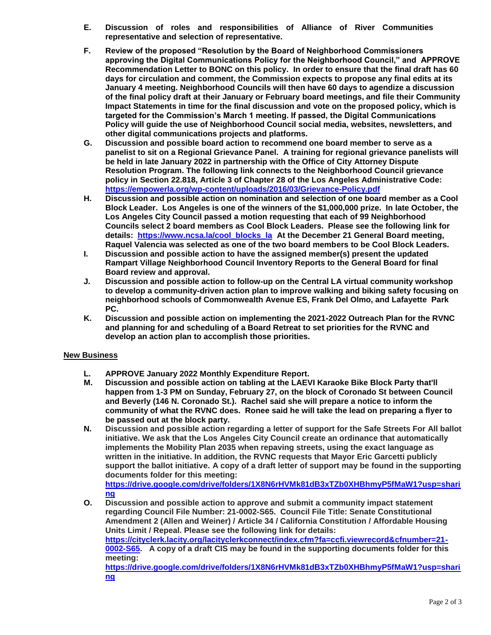- **E. Discussion of roles and responsibilities of Alliance of River Communities representative and selection of representative.**
- **F. Review of the proposed "Resolution by the Board of Neighborhood Commissioners approving the Digital Communications Policy for the Neighborhood Council," and APPROVE Recommendation Letter to BONC on this policy. In order to ensure that the final draft has 60 days for circulation and comment, the Commission expects to propose any final edits at its January 4 meeting. Neighborhood Councils will then have 60 days to agendize a discussion of the final policy draft at their January or February board meetings, and file their Community Impact Statements in time for the final discussion and vote on the proposed policy, which is targeted for the Commission's March 1 meeting. If passed, the Digital Communications Policy will guide the use of Neighborhood Council social media, websites, newsletters, and other digital communications projects and platforms.**
- **G. Discussion and possible board action to recommend one board member to serve as a panelist to sit on a Regional Grievance Panel. A training for regional grievance panelists will be held in late January 2022 in partnership with the Office of City Attorney Dispute Resolution Program. The following link connects to the Neighborhood Council grievance policy in Section 22.818, Article 3 of Chapter 28 of the Los Angeles Administrative Code: <https://empowerla.org/wp-content/uploads/2016/03/Grievance-Policy.pdf>**
- **H. Discussion and possible action on nomination and selection of one board member as a Cool Block Leader. Los Angeles is one of the winners of the \$1,000,000 prize. In late October, the Los Angeles City Council passed a motion requesting that each of 99 Neighborhood Councils select 2 board members as Cool Block Leaders. Please see the following link for details: [https://www.ncsa.la/cool\\_blocks\\_la](https://www.ncsa.la/cool_blocks_la) At the December 21 General Board meeting, Raquel Valencia was selected as one of the two board members to be Cool Block Leaders.**
- **I. Discussion and possible action to have the assigned member(s) present the updated Rampart Village Neighborhood Council Inventory Reports to the General Board for final Board review and approval.**
- **J. Discussion and possible action to follow-up on the Central LA virtual community workshop to develop a community-driven action plan to improve walking and biking safety focusing on neighborhood schools of Commonwealth Avenue ES, Frank Del Olmo, and Lafayette Park PC.**
- **K. Discussion and possible action on implementing the 2021-2022 Outreach Plan for the RVNC and planning for and scheduling of a Board Retreat to set priorities for the RVNC and develop an action plan to accomplish those priorities.**

# **New Business**

- **L. APPROVE January 2022 Monthly Expenditure Report.**
- **M. Discussion and possible action on tabling at the LAEVI Karaoke Bike Block Party that'll happen from 1-3 PM on Sunday, February 27, on the block of Coronado St between Council and Beverly (146 N. Coronado St.). Rachel said she will prepare a notice to inform the community of what the RVNC does. Ronee said he will take the lead on preparing a flyer to be passed out at the block party.**
- **N. Discussion and possible action regarding a letter of support for the Safe Streets For All ballot initiative. We ask that the Los Angeles City Council create an ordinance that automatically implements the Mobility Plan 2035 when repaving streets, using the exact language as written in the initiative. In addition, the RVNC requests that Mayor Eric Garcetti publicly support the ballot initiative. A copy of a draft letter of support may be found in the supporting documents folder for this meeting:**

**[https://drive.google.com/drive/folders/1X8N6rHVMk81dB3xTZb0XHBhmyP5fMaW1?usp=shari](https://drive.google.com/drive/folders/1X8N6rHVMk81dB3xTZb0XHBhmyP5fMaW1?usp=sharing) [ng](https://drive.google.com/drive/folders/1X8N6rHVMk81dB3xTZb0XHBhmyP5fMaW1?usp=sharing)**

**O. Discussion and possible action to approve and submit a community impact statement regarding Council File Number: 21-0002-S65. Council File Title: Senate Constitutional Amendment 2 (Allen and Weiner) / Article 34 / California Constitution / Affordable Housing Units Limit / Repeal. Please see the following link for details: [https://cityclerk.lacity.org/lacityclerkconnect/index.cfm?fa=ccfi.viewrecord&cfnumber=21-](https://cityclerk.lacity.org/lacityclerkconnect/index.cfm?fa=ccfi.viewrecord&cfnumber=21-0002-S65) [0002-S65.](https://cityclerk.lacity.org/lacityclerkconnect/index.cfm?fa=ccfi.viewrecord&cfnumber=21-0002-S65) A copy of a draft CIS may be found in the supporting documents folder for this meeting: [https://drive.google.com/drive/folders/1X8N6rHVMk81dB3xTZb0XHBhmyP5fMaW1?usp=shari](https://drive.google.com/drive/folders/1X8N6rHVMk81dB3xTZb0XHBhmyP5fMaW1?usp=sharing) [ng](https://drive.google.com/drive/folders/1X8N6rHVMk81dB3xTZb0XHBhmyP5fMaW1?usp=sharing)**